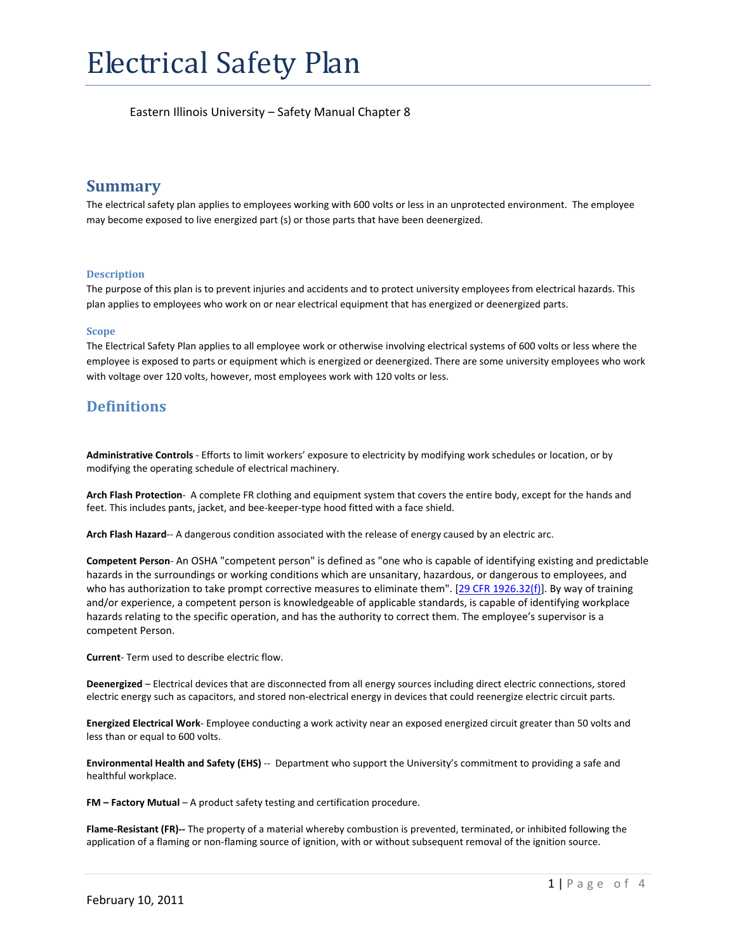# **Summary**

The electrical safety plan applies to employees working with 600 volts or less in an unprotected environment. The employee may become exposed to live energized part (s) or those parts that have been deenergized.

### **Description**

The purpose of this plan is to prevent injuries and accidents and to protect university employees from electrical hazards. This plan applies to employees who work on or near electrical equipment that has energized or deenergized parts.

#### **Scope**

The Electrical Safety Plan applies to all employee work or otherwise involving electrical systems of 600 volts or less where the employee is exposed to parts or equipment which is energized or deenergized. There are some university employees who work with voltage over 120 volts, however, most employees work with 120 volts or less.

# **Definitions**

**Administrative Controls** ‐ Efforts to limit workers' exposure to electricity by modifying work schedules or location, or by modifying the operating schedule of electrical machinery.

**Arch Flash Protection**‐ A complete FR clothing and equipment system that covers the entire body, except for the hands and feet. This includes pants, jacket, and bee‐keeper‐type hood fitted with a face shield.

**Arch Flash Hazard**‐‐ A dangerous condition associated with the release of energy caused by an electric arc.

**Competent Person**‐ An OSHA "competent person" is defined as "one who is capable of identifying existing and predictable hazards in the surroundings or working conditions which are unsanitary, hazardous, or dangerous to employees, and who has authorization to take prompt corrective measures to eliminate them". [29 CFR 1926.32(f)]. By way of training and/or experience, a competent person is knowledgeable of applicable standards, is capable of identifying workplace hazards relating to the specific operation, and has the authority to correct them. The employee's supervisor is a competent Person.

**Current**‐ Term used to describe electric flow.

**Deenergized** – Electrical devices that are disconnected from all energy sources including direct electric connections, stored electric energy such as capacitors, and stored non‐electrical energy in devices that could reenergize electric circuit parts.

**Energized Electrical Work**‐ Employee conducting a work activity near an exposed energized circuit greater than 50 volts and less than or equal to 600 volts.

**Environmental Health and Safety (EHS)** ‐‐ Department who support the University's commitment to providing a safe and healthful workplace.

**FM – Factory Mutual** – A product safety testing and certification procedure.

**Flame‐Resistant (FR)‐‐** The property of a material whereby combustion is prevented, terminated, or inhibited following the application of a flaming or non‐flaming source of ignition, with or without subsequent removal of the ignition source.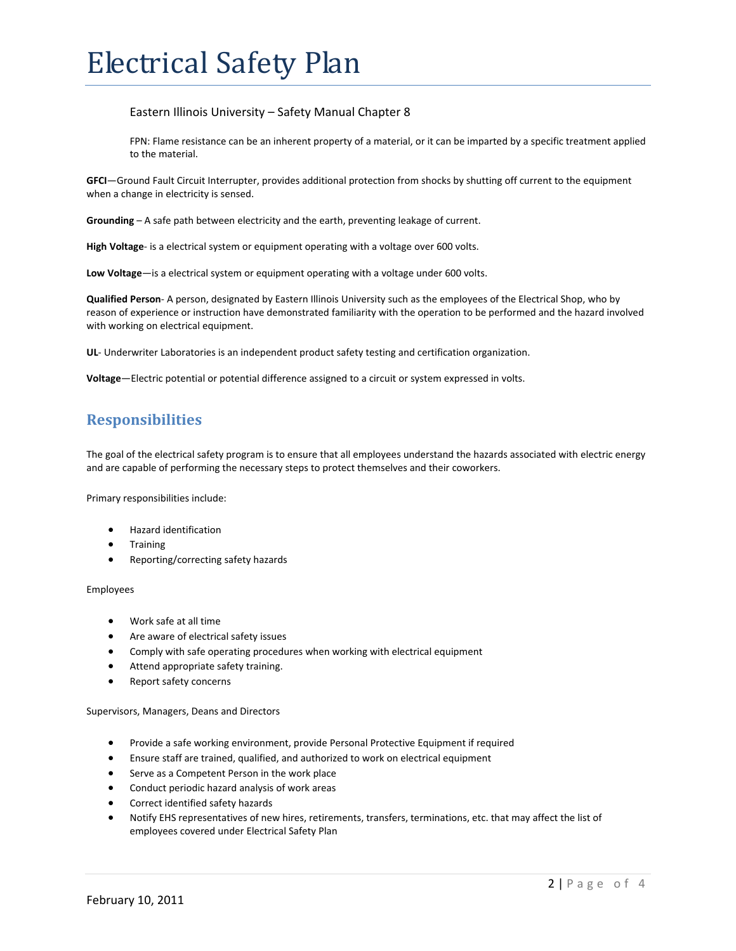FPN: Flame resistance can be an inherent property of a material, or it can be imparted by a specific treatment applied to the material.

**GFCI**—Ground Fault Circuit Interrupter, provides additional protection from shocks by shutting off current to the equipment when a change in electricity is sensed.

**Grounding** – A safe path between electricity and the earth, preventing leakage of current.

**High Voltage**‐ is a electrical system or equipment operating with a voltage over 600 volts.

**Low Voltage**—is a electrical system or equipment operating with a voltage under 600 volts.

**Qualified Person**‐ A person, designated by Eastern Illinois University such as the employees of the Electrical Shop, who by reason of experience or instruction have demonstrated familiarity with the operation to be performed and the hazard involved with working on electrical equipment.

**UL**- Underwriter Laboratories is an independent product safety testing and certification organization.

**Voltage**—Electric potential or potential difference assigned to a circuit or system expressed in volts.

# **Responsibilities**

The goal of the electrical safety program is to ensure that all employees understand the hazards associated with electric energy and are capable of performing the necessary steps to protect themselves and their coworkers.

Primary responsibilities include:

- Hazard identification
- **Training**
- Reporting/correcting safety hazards

#### Employees

- Work safe at all time
- Are aware of electrical safety issues
- Comply with safe operating procedures when working with electrical equipment
- Attend appropriate safety training.
- Report safety concerns

Supervisors, Managers, Deans and Directors

- Provide a safe working environment, provide Personal Protective Equipment if required
- Ensure staff are trained, qualified, and authorized to work on electrical equipment
- **Serve as a Competent Person in the work place**
- Conduct periodic hazard analysis of work areas
- Correct identified safety hazards
- Notify EHS representatives of new hires, retirements, transfers, terminations, etc. that may affect the list of employees covered under Electrical Safety Plan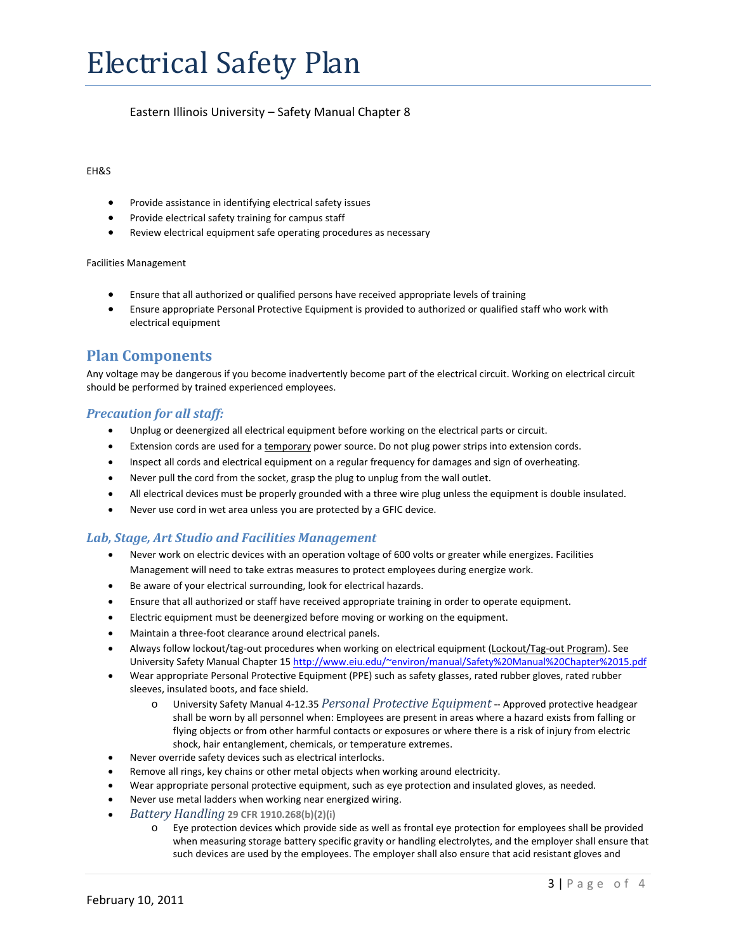#### EH&S

- Provide assistance in identifying electrical safety issues
- Provide electrical safety training for campus staff
- Review electrical equipment safe operating procedures as necessary

#### Facilities Management

- Ensure that all authorized or qualified persons have received appropriate levels of training
- Ensure appropriate Personal Protective Equipment is provided to authorized or qualified staff who work with electrical equipment

# **Plan Components**

Any voltage may be dangerous if you become inadvertently become part of the electrical circuit. Working on electrical circuit should be performed by trained experienced employees.

### *Precaution for all staff:*

- Unplug or deenergized all electrical equipment before working on the electrical parts or circuit.
- Extension cords are used for a temporary power source. Do not plug power strips into extension cords.
- Inspect all cords and electrical equipment on a regular frequency for damages and sign of overheating.
- Never pull the cord from the socket, grasp the plug to unplug from the wall outlet.
- All electrical devices must be properly grounded with a three wire plug unless the equipment is double insulated.
- Never use cord in wet area unless you are protected by a GFIC device.

### *Lab, Stage, Art Studio and Facilities Management*

- Never work on electric devices with an operation voltage of 600 volts or greater while energizes. Facilities Management will need to take extras measures to protect employees during energize work.
- Be aware of your electrical surrounding, look for electrical hazards.
- Ensure that all authorized or staff have received appropriate training in order to operate equipment.
- Electric equipment must be deenergized before moving or working on the equipment.
- Maintain a three‐foot clearance around electrical panels.
- Always follow lockout/tag-out procedures when working on electrical equipment (Lockout/Tag-out Program). See University Safety Manual Chapter 15 http://www.eiu.edu/~environ/manual/Safety%20Manual%20Chapter%2015.pdf
- Wear appropriate Personal Protective Equipment (PPE) such as safety glasses, rated rubber gloves, rated rubber sleeves, insulated boots, and face shield.
	- o University Safety Manual 4‐12.35 *Personal Protective Equipment* ‐‐ Approved protective headgear shall be worn by all personnel when: Employees are present in areas where a hazard exists from falling or flying objects or from other harmful contacts or exposures or where there is a risk of injury from electric shock, hair entanglement, chemicals, or temperature extremes.
- Never override safety devices such as electrical interlocks.
- Remove all rings, key chains or other metal objects when working around electricity.
- Wear appropriate personal protective equipment, such as eye protection and insulated gloves, as needed.
- Never use metal ladders when working near energized wiring.
- *Battery Handling* **29 CFR 1910.268(b)(2)(i)**
	- o Eye protection devices which provide side as well as frontal eye protection for employees shall be provided when measuring storage battery specific gravity or handling electrolytes, and the employer shall ensure that such devices are used by the employees. The employer shall also ensure that acid resistant gloves and